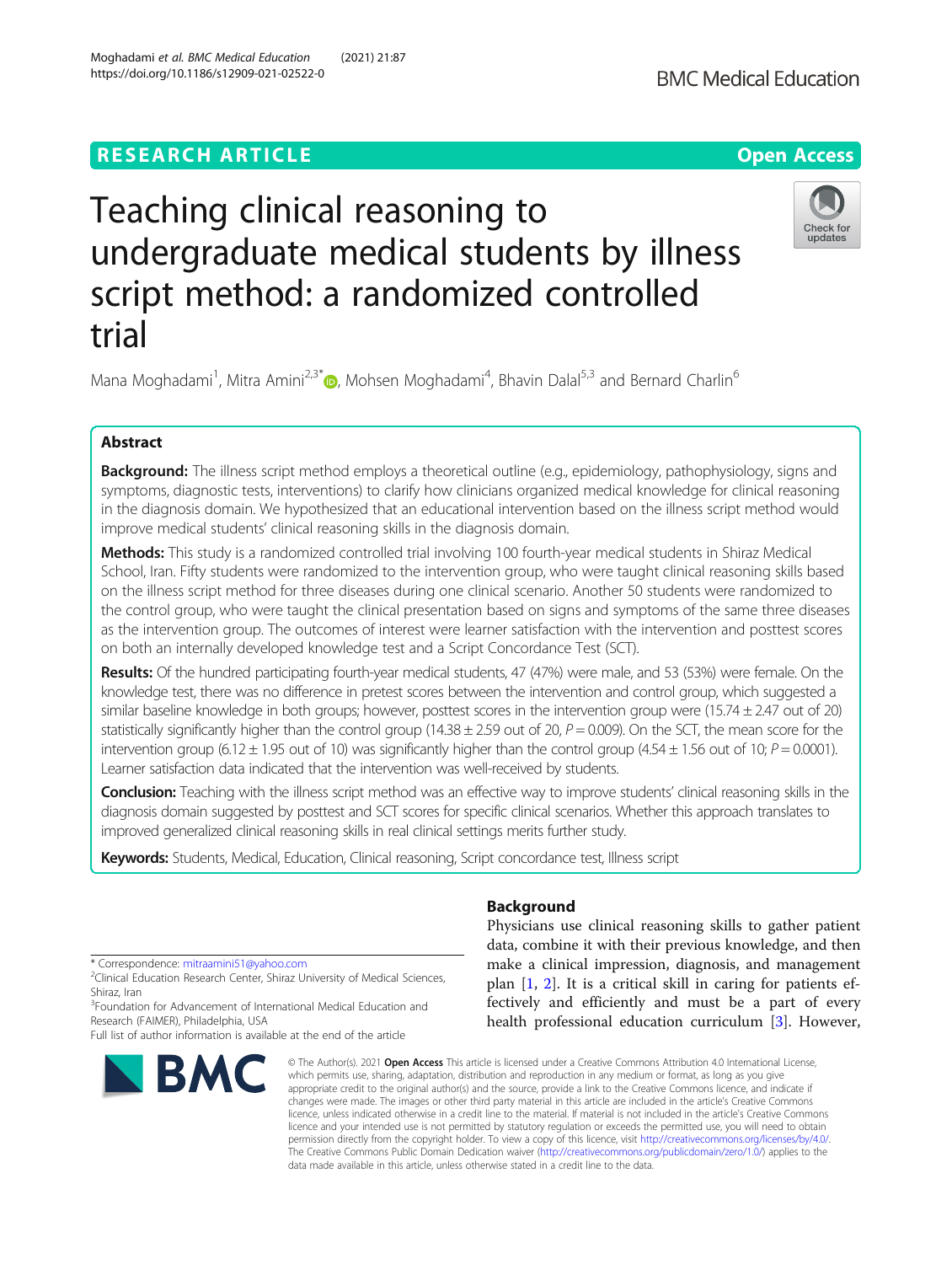# **RESEARCH ARTICLE Example 2014 12:30 The Contract of Contract ACCESS**

# Teaching clinical reasoning to undergraduate medical students by illness script method: a randomized controlled trial

Mana Moghadami<sup>1</sup>, Mitra Amini<sup>2,3\*</sup>@, Mohsen Moghadami<sup>4</sup>, Bhavin Dalal<sup>5,3</sup> and Bernard Charlin<sup>6</sup>

## Abstract

Background: The illness script method employs a theoretical outline (e.g., epidemiology, pathophysiology, signs and symptoms, diagnostic tests, interventions) to clarify how clinicians organized medical knowledge for clinical reasoning in the diagnosis domain. We hypothesized that an educational intervention based on the illness script method would improve medical students' clinical reasoning skills in the diagnosis domain.

Methods: This study is a randomized controlled trial involving 100 fourth-year medical students in Shiraz Medical School, Iran. Fifty students were randomized to the intervention group, who were taught clinical reasoning skills based on the illness script method for three diseases during one clinical scenario. Another 50 students were randomized to the control group, who were taught the clinical presentation based on signs and symptoms of the same three diseases as the intervention group. The outcomes of interest were learner satisfaction with the intervention and posttest scores on both an internally developed knowledge test and a Script Concordance Test (SCT).

Results: Of the hundred participating fourth-year medical students, 47 (47%) were male, and 53 (53%) were female. On the knowledge test, there was no difference in pretest scores between the intervention and control group, which suggested a similar baseline knowledge in both groups; however, posttest scores in the intervention group were (15.74 ± 2.47 out of 20) statistically significantly higher than the control group (14.38  $\pm$  2.59 out of 20,  $P = 0.009$ ). On the SCT, the mean score for the intervention group (6.12  $\pm$  1.95 out of 10) was significantly higher than the control group (4.54  $\pm$  1.56 out of 10; P = 0.0001). Learner satisfaction data indicated that the intervention was well-received by students.

Conclusion: Teaching with the illness script method was an effective way to improve students' clinical reasoning skills in the diagnosis domain suggested by posttest and SCT scores for specific clinical scenarios. Whether this approach translates to improved generalized clinical reasoning skills in real clinical settings merits further study.

Keywords: Students, Medical, Education, Clinical reasoning, Script concordance test, Illness script

\* Correspondence: [mitraamini51@yahoo.com](mailto:mitraamini51@yahoo.com) <sup>2</sup>

<sup>2</sup>Clinical Education Research Center, Shiraz University of Medical Sciences, Shiraz, Iran

<sup>3</sup> Foundation for Advancement of International Medical Education and Research (FAIMER), Philadelphia, USA

Full list of author information is available at the end of the article

# Background

Physicians use clinical reasoning skills to gather patient data, combine it with their previous knowledge, and then make a clinical impression, diagnosis, and management plan [\[1](#page-5-0), [2](#page-5-0)]. It is a critical skill in caring for patients effectively and efficiently and must be a part of every health professional education curriculum [\[3](#page-5-0)]. However,

© The Author(s), 2021 **Open Access** This article is licensed under a Creative Commons Attribution 4.0 International License, which permits use, sharing, adaptation, distribution and reproduction in any medium or format, as long as you give appropriate credit to the original author(s) and the source, provide a link to the Creative Commons licence, and indicate if changes were made. The images or other third party material in this article are included in the article's Creative Commons licence, unless indicated otherwise in a credit line to the material. If material is not included in the article's Creative Commons licence and your intended use is not permitted by statutory regulation or exceeds the permitted use, you will need to obtain permission directly from the copyright holder. To view a copy of this licence, visit [http://creativecommons.org/licenses/by/4.0/.](http://creativecommons.org/licenses/by/4.0/) The Creative Commons Public Domain Dedication waiver [\(http://creativecommons.org/publicdomain/zero/1.0/](http://creativecommons.org/publicdomain/zero/1.0/)) applies to the data made available in this article, unless otherwise stated in a credit line to the data.

**BMC** 





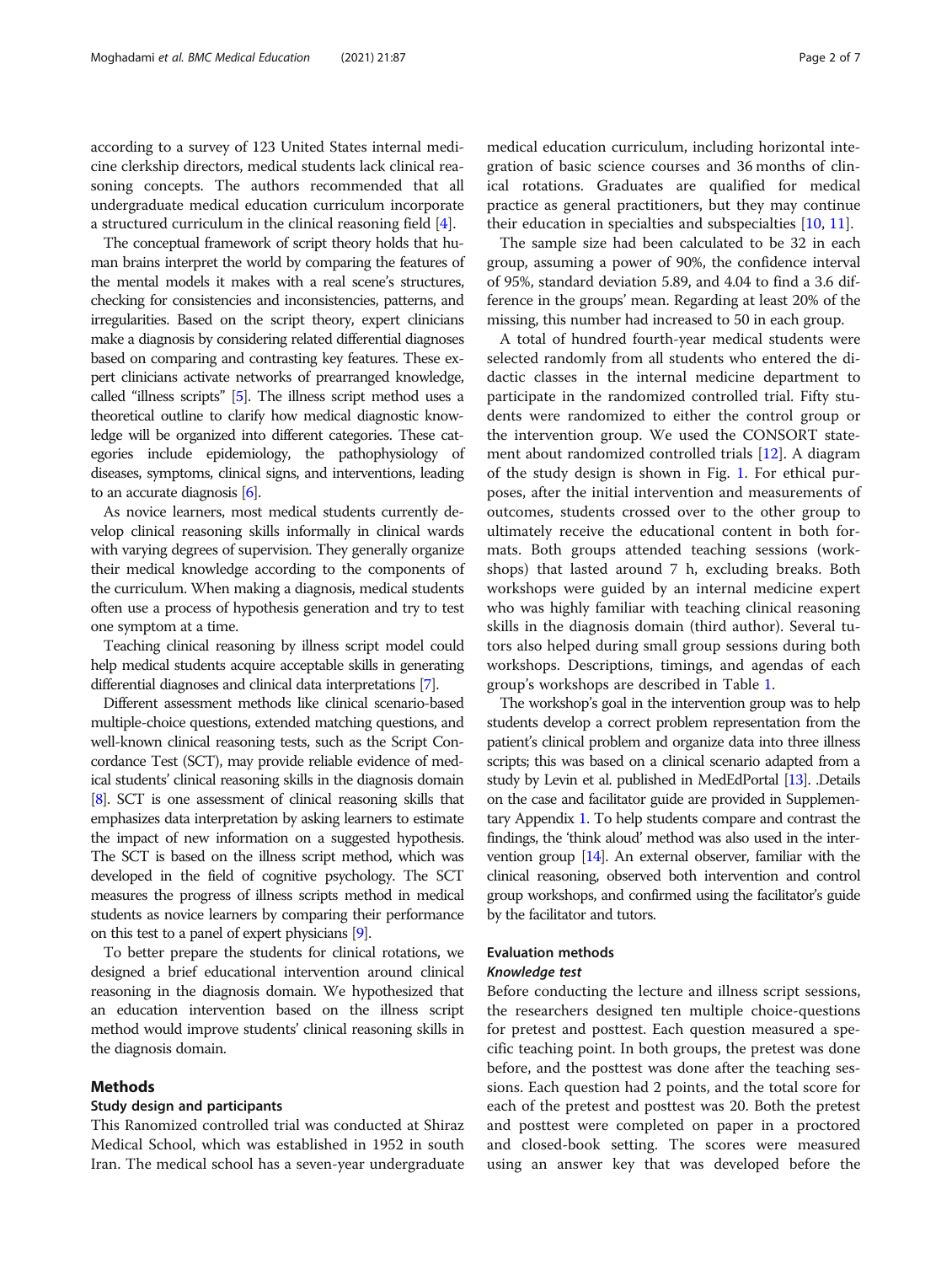according to a survey of 123 United States internal medicine clerkship directors, medical students lack clinical reasoning concepts. The authors recommended that all undergraduate medical education curriculum incorporate a structured curriculum in the clinical reasoning field [\[4](#page-5-0)].

The conceptual framework of script theory holds that human brains interpret the world by comparing the features of the mental models it makes with a real scene's structures, checking for consistencies and inconsistencies, patterns, and irregularities. Based on the script theory, expert clinicians make a diagnosis by considering related differential diagnoses based on comparing and contrasting key features. These expert clinicians activate networks of prearranged knowledge, called "illness scripts" [[5](#page-5-0)]. The illness script method uses a theoretical outline to clarify how medical diagnostic knowledge will be organized into different categories. These categories include epidemiology, the pathophysiology of diseases, symptoms, clinical signs, and interventions, leading to an accurate diagnosis [\[6](#page-5-0)].

As novice learners, most medical students currently develop clinical reasoning skills informally in clinical wards with varying degrees of supervision. They generally organize their medical knowledge according to the components of the curriculum. When making a diagnosis, medical students often use a process of hypothesis generation and try to test one symptom at a time.

Teaching clinical reasoning by illness script model could help medical students acquire acceptable skills in generating differential diagnoses and clinical data interpretations [\[7\]](#page-6-0).

Different assessment methods like clinical scenario-based multiple-choice questions, extended matching questions, and well-known clinical reasoning tests, such as the Script Concordance Test (SCT), may provide reliable evidence of medical students' clinical reasoning skills in the diagnosis domain [[8](#page-6-0)]. SCT is one assessment of clinical reasoning skills that emphasizes data interpretation by asking learners to estimate the impact of new information on a suggested hypothesis. The SCT is based on the illness script method, which was developed in the field of cognitive psychology. The SCT measures the progress of illness scripts method in medical students as novice learners by comparing their performance on this test to a panel of expert physicians [\[9\]](#page-6-0).

To better prepare the students for clinical rotations, we designed a brief educational intervention around clinical reasoning in the diagnosis domain. We hypothesized that an education intervention based on the illness script method would improve students' clinical reasoning skills in the diagnosis domain.

## Methods

### Study design and participants

This Ranomized controlled trial was conducted at Shiraz Medical School, which was established in 1952 in south Iran. The medical school has a seven-year undergraduate medical education curriculum, including horizontal integration of basic science courses and 36 months of clinical rotations. Graduates are qualified for medical practice as general practitioners, but they may continue their education in specialties and subspecialties [\[10](#page-6-0), [11](#page-6-0)].

The sample size had been calculated to be 32 in each group, assuming a power of 90%, the confidence interval of 95%, standard deviation 5.89, and 4.04 to find a 3.6 difference in the groups' mean. Regarding at least 20% of the missing, this number had increased to 50 in each group.

A total of hundred fourth-year medical students were selected randomly from all students who entered the didactic classes in the internal medicine department to participate in the randomized controlled trial. Fifty students were randomized to either the control group or the intervention group. We used the CONSORT statement about randomized controlled trials [\[12](#page-6-0)]. A diagram of the study design is shown in Fig. [1.](#page-2-0) For ethical purposes, after the initial intervention and measurements of outcomes, students crossed over to the other group to ultimately receive the educational content in both formats. Both groups attended teaching sessions (workshops) that lasted around 7 h, excluding breaks. Both workshops were guided by an internal medicine expert who was highly familiar with teaching clinical reasoning skills in the diagnosis domain (third author). Several tutors also helped during small group sessions during both workshops. Descriptions, timings, and agendas of each group's workshops are described in Table [1](#page-2-0).

The workshop's goal in the intervention group was to help students develop a correct problem representation from the patient's clinical problem and organize data into three illness scripts; this was based on a clinical scenario adapted from a study by Levin et al. published in MedEdPortal [\[13\]](#page-6-0). .Details on the case and facilitator guide are provided in Supplementary Appendix [1.](#page-5-0) To help students compare and contrast the findings, the 'think aloud' method was also used in the intervention group [[14\]](#page-6-0). An external observer, familiar with the clinical reasoning, observed both intervention and control group workshops, and confirmed using the facilitator's guide by the facilitator and tutors.

## Evaluation methods Knowledge test

Before conducting the lecture and illness script sessions, the researchers designed ten multiple choice-questions for pretest and posttest. Each question measured a specific teaching point. In both groups, the pretest was done before, and the posttest was done after the teaching sessions. Each question had 2 points, and the total score for each of the pretest and posttest was 20. Both the pretest and posttest were completed on paper in a proctored and closed-book setting. The scores were measured using an answer key that was developed before the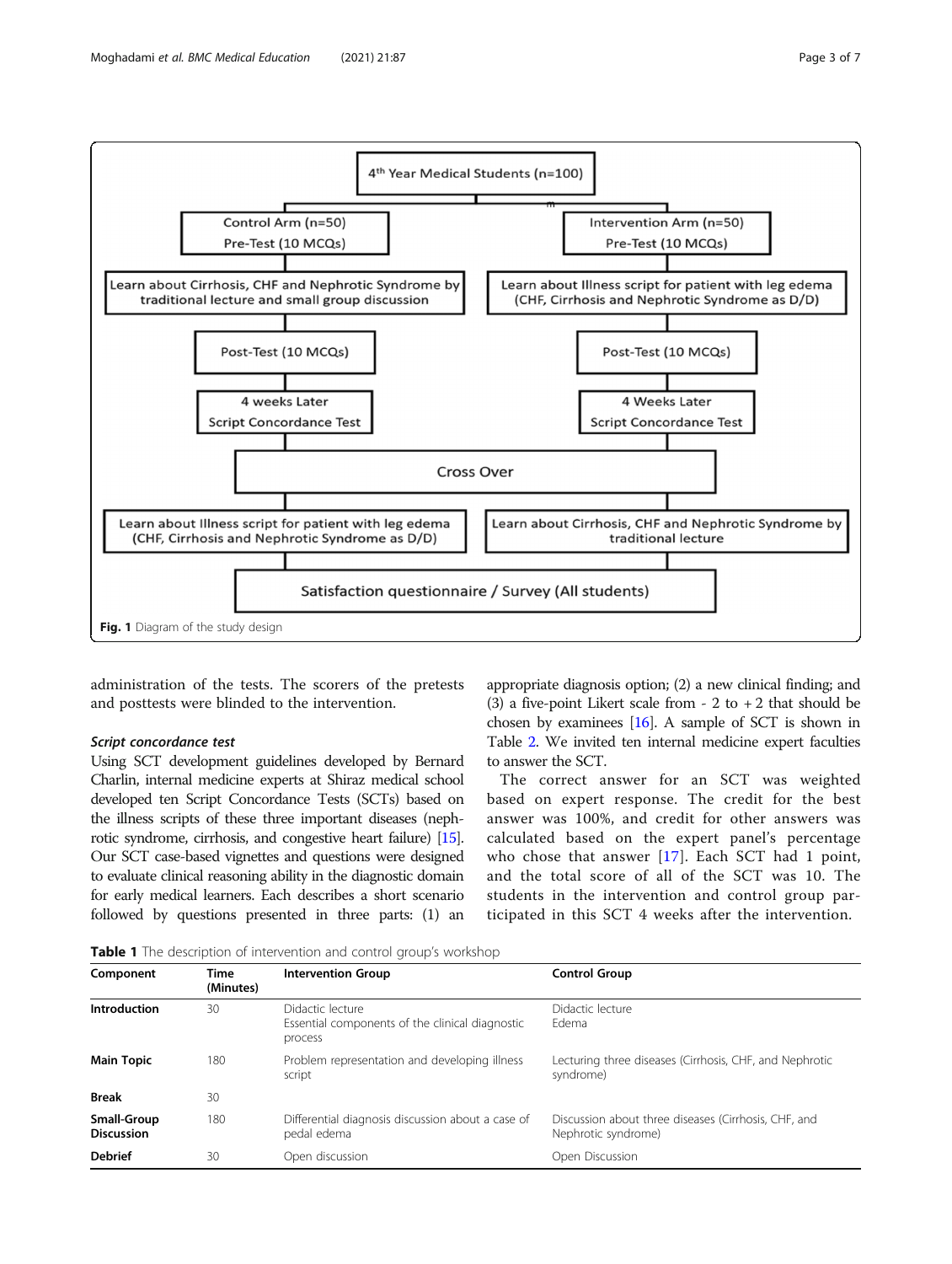<span id="page-2-0"></span>

administration of the tests. The scorers of the pretests and posttests were blinded to the intervention.

## Script concordance test

Using SCT development guidelines developed by Bernard Charlin, internal medicine experts at Shiraz medical school developed ten Script Concordance Tests (SCTs) based on the illness scripts of these three important diseases (nephrotic syndrome, cirrhosis, and congestive heart failure) [\[15\]](#page-6-0). Our SCT case-based vignettes and questions were designed to evaluate clinical reasoning ability in the diagnostic domain for early medical learners. Each describes a short scenario followed by questions presented in three parts: (1) an

appropriate diagnosis option; (2) a new clinical finding; and (3) a five-point Likert scale from  $-2$  to  $+2$  that should be chosen by examinees [\[16](#page-6-0)]. A sample of SCT is shown in Table [2](#page-3-0). We invited ten internal medicine expert faculties to answer the SCT.

The correct answer for an SCT was weighted based on expert response. The credit for the best answer was 100%, and credit for other answers was calculated based on the expert panel's percentage who chose that answer [[17](#page-6-0)]. Each SCT had 1 point, and the total score of all of the SCT was 10. The students in the intervention and control group participated in this SCT 4 weeks after the intervention.

**Table 1** The description of intervention and control group's workshop

| Time<br>(Minutes)                                                                                    | <b>Control Group</b><br><b>Intervention Group</b>                |                                                                             |  |  |
|------------------------------------------------------------------------------------------------------|------------------------------------------------------------------|-----------------------------------------------------------------------------|--|--|
| Introduction<br>30<br>Didactic lecture<br>Essential components of the clinical diagnostic<br>process |                                                                  | Didactic lecture<br>Fdema                                                   |  |  |
| 180                                                                                                  | Problem representation and developing illness<br>script          | Lecturing three diseases (Cirrhosis, CHF, and Nephrotic<br>syndrome)        |  |  |
| 30                                                                                                   |                                                                  |                                                                             |  |  |
| 180                                                                                                  | Differential diagnosis discussion about a case of<br>pedal edema | Discussion about three diseases (Cirrhosis, CHF, and<br>Nephrotic syndrome) |  |  |
| 30                                                                                                   | Open discussion                                                  | Open Discussion                                                             |  |  |
|                                                                                                      |                                                                  |                                                                             |  |  |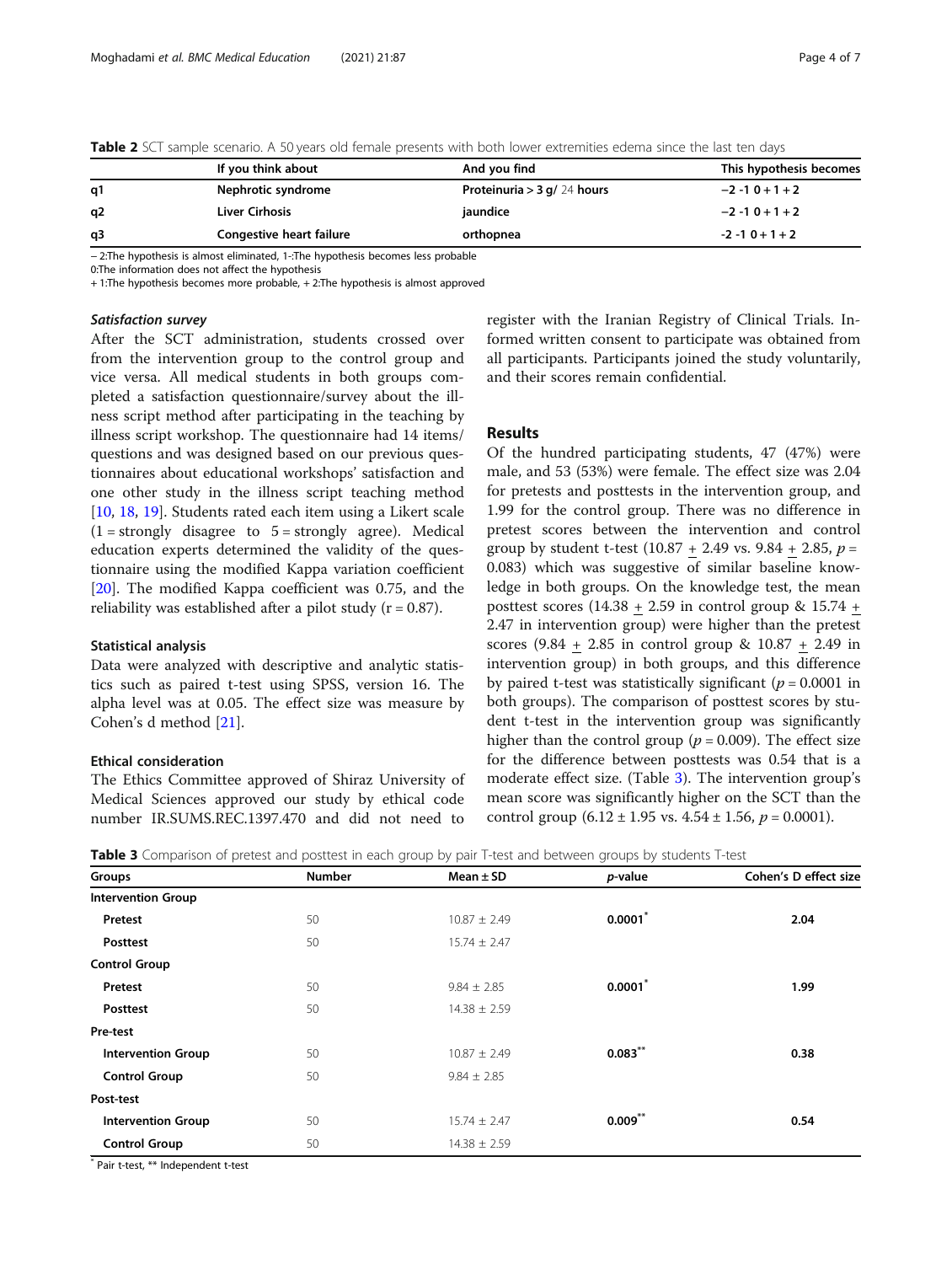<span id="page-3-0"></span>

| Table 2 SCT sample scenario. A 50 vears old female presents with both lower extremities edema since the last ten days |  |
|-----------------------------------------------------------------------------------------------------------------------|--|
|-----------------------------------------------------------------------------------------------------------------------|--|

|    | If you think about       | And you find                  | This hypothesis becomes |
|----|--------------------------|-------------------------------|-------------------------|
| q1 | Nephrotic syndrome       | Proteinuria > 3 g/ $24$ hours | $-2 - 10 + 1 + 2$       |
| q2 | Liver Cirhosis           | jaundice                      | $-2 - 10 + 1 + 2$       |
| q3 | Congestive heart failure | orthopnea                     | $-2 - 10 + 1 + 2$       |

− 2:The hypothesis is almost eliminated, 1-:The hypothesis becomes less probable

0:The information does not affect the hypothesis

+ 1:The hypothesis becomes more probable, + 2:The hypothesis is almost approved

## Satisfaction survey

After the SCT administration, students crossed over from the intervention group to the control group and vice versa. All medical students in both groups completed a satisfaction questionnaire/survey about the illness script method after participating in the teaching by illness script workshop. The questionnaire had 14 items/ questions and was designed based on our previous questionnaires about educational workshops' satisfaction and one other study in the illness script teaching method [[10,](#page-6-0) [18](#page-6-0), [19](#page-6-0)]. Students rated each item using a Likert scale  $(1 =$  strongly disagree to  $5 =$  strongly agree). Medical education experts determined the validity of the questionnaire using the modified Kappa variation coefficient [[20\]](#page-6-0). The modified Kappa coefficient was 0.75, and the reliability was established after a pilot study  $(r = 0.87)$ .

#### Statistical analysis

Data were analyzed with descriptive and analytic statistics such as paired t-test using SPSS, version 16. The alpha level was at 0.05. The effect size was measure by Cohen's d method [[21\]](#page-6-0).

## Ethical consideration

The Ethics Committee approved of Shiraz University of Medical Sciences approved our study by ethical code number IR.SUMS.REC.1397.470 and did not need to register with the Iranian Registry of Clinical Trials. Informed written consent to participate was obtained from all participants. Participants joined the study voluntarily, and their scores remain confidential.

## Results

Of the hundred participating students, 47 (47%) were male, and 53 (53%) were female. The effect size was 2.04 for pretests and posttests in the intervention group, and 1.99 for the control group. There was no difference in pretest scores between the intervention and control group by student t-test (10.87 + 2.49 vs. 9.84 + 2.85,  $p =$ 0.083) which was suggestive of similar baseline knowledge in both groups. On the knowledge test, the mean posttest scores (14.38 + 2.59 in control group & 15.74 + 2.47 in intervention group) were higher than the pretest scores (9.84 + 2.85 in control group & 10.87 + 2.49 in intervention group) in both groups, and this difference by paired t-test was statistically significant ( $p = 0.0001$  in both groups). The comparison of posttest scores by student t-test in the intervention group was significantly higher than the control group ( $p = 0.009$ ). The effect size for the difference between posttests was 0.54 that is a moderate effect size. (Table 3). The intervention group's mean score was significantly higher on the SCT than the control group  $(6.12 \pm 1.95 \text{ vs. } 4.54 \pm 1.56, p = 0.0001).$ 

Table 3 Comparison of pretest and posttest in each group by pair T-test and between groups by students T-test

| Groups                    | Number | Mean $\pm$ SD    | p-value    | Cohen's D effect size |
|---------------------------|--------|------------------|------------|-----------------------|
| <b>Intervention Group</b> |        |                  |            |                       |
| Pretest                   | 50     | $10.87 \pm 2.49$ | 0.0001     | 2.04                  |
| Posttest                  | 50     | $15.74 \pm 2.47$ |            |                       |
| <b>Control Group</b>      |        |                  |            |                       |
| Pretest                   | 50     | $9.84 \pm 2.85$  | $0.0001^*$ | 1.99                  |
| Posttest                  | 50     | $14.38 \pm 2.59$ |            |                       |
| Pre-test                  |        |                  |            |                       |
| <b>Intervention Group</b> | 50     | $10.87 \pm 2.49$ | $0.083$ ** | 0.38                  |
| <b>Control Group</b>      | 50     | $9.84 \pm 2.85$  |            |                       |
| Post-test                 |        |                  |            |                       |
| <b>Intervention Group</b> | 50     | $15.74 \pm 2.47$ | 0.009      | 0.54                  |
| <b>Control Group</b>      | 50     | $14.38 \pm 2.59$ |            |                       |

\* Pair t-test, \*\* Independent t-test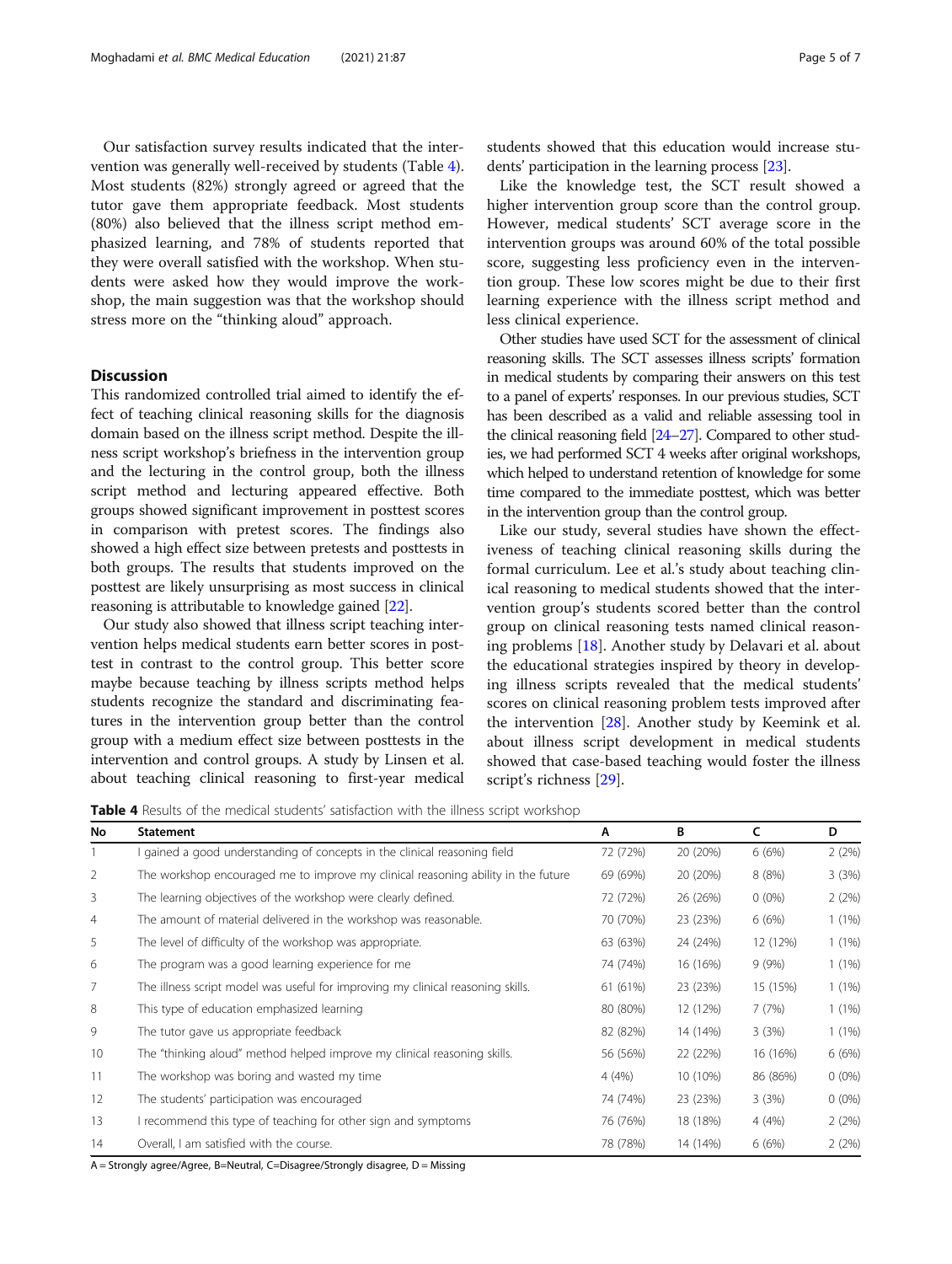Our satisfaction survey results indicated that the intervention was generally well-received by students (Table 4). Most students (82%) strongly agreed or agreed that the tutor gave them appropriate feedback. Most students (80%) also believed that the illness script method emphasized learning, and 78% of students reported that they were overall satisfied with the workshop. When students were asked how they would improve the workshop, the main suggestion was that the workshop should stress more on the "thinking aloud" approach.

## **Discussion**

This randomized controlled trial aimed to identify the effect of teaching clinical reasoning skills for the diagnosis domain based on the illness script method. Despite the illness script workshop's briefness in the intervention group and the lecturing in the control group, both the illness script method and lecturing appeared effective. Both groups showed significant improvement in posttest scores in comparison with pretest scores. The findings also showed a high effect size between pretests and posttests in both groups. The results that students improved on the posttest are likely unsurprising as most success in clinical reasoning is attributable to knowledge gained [\[22](#page-6-0)].

Our study also showed that illness script teaching intervention helps medical students earn better scores in posttest in contrast to the control group. This better score maybe because teaching by illness scripts method helps students recognize the standard and discriminating features in the intervention group better than the control group with a medium effect size between posttests in the intervention and control groups. A study by Linsen et al. about teaching clinical reasoning to first-year medical students showed that this education would increase students' participation in the learning process [\[23\]](#page-6-0).

Like the knowledge test, the SCT result showed a higher intervention group score than the control group. However, medical students' SCT average score in the intervention groups was around 60% of the total possible score, suggesting less proficiency even in the intervention group. These low scores might be due to their first learning experience with the illness script method and less clinical experience.

Other studies have used SCT for the assessment of clinical reasoning skills. The SCT assesses illness scripts' formation in medical students by comparing their answers on this test to a panel of experts' responses. In our previous studies, SCT has been described as a valid and reliable assessing tool in the clinical reasoning field [\[24](#page-6-0)–[27](#page-6-0)]. Compared to other studies, we had performed SCT 4 weeks after original workshops, which helped to understand retention of knowledge for some time compared to the immediate posttest, which was better in the intervention group than the control group.

Like our study, several studies have shown the effectiveness of teaching clinical reasoning skills during the formal curriculum. Lee et al.'s study about teaching clinical reasoning to medical students showed that the intervention group's students scored better than the control group on clinical reasoning tests named clinical reasoning problems [\[18](#page-6-0)]. Another study by Delavari et al. about the educational strategies inspired by theory in developing illness scripts revealed that the medical students' scores on clinical reasoning problem tests improved after the intervention [\[28\]](#page-6-0). Another study by Keemink et al. about illness script development in medical students showed that case-based teaching would foster the illness script's richness [[29](#page-6-0)].

Table 4 Results of the medical students' satisfaction with the illness script workshop

| No             | <b>Statement</b>                                                                  | A        | В        | C        | D        |
|----------------|-----------------------------------------------------------------------------------|----------|----------|----------|----------|
|                | I gained a good understanding of concepts in the clinical reasoning field         | 72 (72%) | 20 (20%) | 6(6%)    | 2(2%)    |
| 2              | The workshop encouraged me to improve my clinical reasoning ability in the future | 69 (69%) | 20 (20%) | 8(8%)    | 3(3%)    |
| 3              | The learning objectives of the workshop were clearly defined.                     | 72 (72%) | 26 (26%) | $0(0\%)$ | 2(2%)    |
| $\overline{4}$ | The amount of material delivered in the workshop was reasonable.                  | 70 (70%) | 23 (23%) | 6(6%)    | $1(1\%)$ |
| 5              | The level of difficulty of the workshop was appropriate.                          | 63 (63%) | 24 (24%) | 12 (12%) | $1(1\%)$ |
| 6              | The program was a good learning experience for me                                 | 74 (74%) | 16 (16%) | 9(9%)    | 1(1%)    |
| 7              | The illness script model was useful for improving my clinical reasoning skills.   | 61 (61%) | 23 (23%) | 15 (15%) | $1(1\%)$ |
| 8              | This type of education emphasized learning                                        | 80 (80%) | 12 (12%) | 7(7%)    | 1(1%)    |
| 9              | The tutor gave us appropriate feedback                                            | 82 (82%) | 14 (14%) | 3(3%)    | $1(1\%)$ |
| 10             | The "thinking aloud" method helped improve my clinical reasoning skills.          | 56 (56%) | 22 (22%) | 16 (16%) | 6(6%)    |
| 11             | The workshop was boring and wasted my time                                        | 4(4%)    | 10 (10%) | 86 (86%) | $0(0\%)$ |
| 12             | The students' participation was encouraged                                        | 74 (74%) | 23 (23%) | 3(3%)    | $0(0\%)$ |
| 13             | I recommend this type of teaching for other sign and symptoms                     | 76 (76%) | 18 (18%) | 4(4%)    | 2(2%)    |
| 14             | Overall, I am satisfied with the course.                                          | 78 (78%) | 14 (14%) | 6(6%)    | 2(2%)    |

A = Strongly agree/Agree, B=Neutral, C=Disagree/Strongly disagree, D = Missing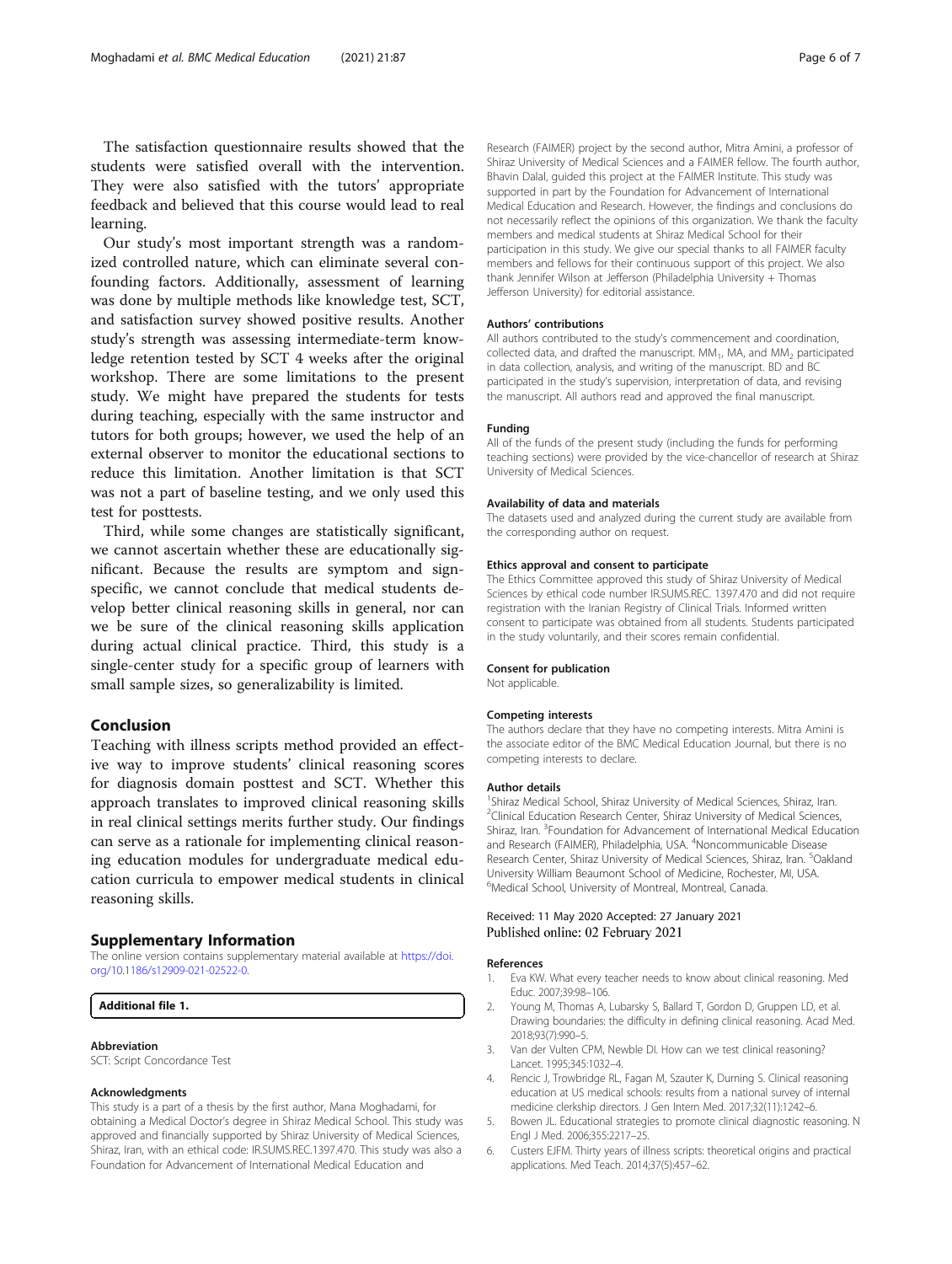<span id="page-5-0"></span>The satisfaction questionnaire results showed that the students were satisfied overall with the intervention. They were also satisfied with the tutors' appropriate feedback and believed that this course would lead to real learning.

Our study's most important strength was a randomized controlled nature, which can eliminate several confounding factors. Additionally, assessment of learning was done by multiple methods like knowledge test, SCT, and satisfaction survey showed positive results. Another study's strength was assessing intermediate-term knowledge retention tested by SCT 4 weeks after the original workshop. There are some limitations to the present study. We might have prepared the students for tests during teaching, especially with the same instructor and tutors for both groups; however, we used the help of an external observer to monitor the educational sections to reduce this limitation. Another limitation is that SCT was not a part of baseline testing, and we only used this test for posttests.

Third, while some changes are statistically significant, we cannot ascertain whether these are educationally significant. Because the results are symptom and signspecific, we cannot conclude that medical students develop better clinical reasoning skills in general, nor can we be sure of the clinical reasoning skills application during actual clinical practice. Third, this study is a single-center study for a specific group of learners with small sample sizes, so generalizability is limited.

## Conclusion

Teaching with illness scripts method provided an effective way to improve students' clinical reasoning scores for diagnosis domain posttest and SCT. Whether this approach translates to improved clinical reasoning skills in real clinical settings merits further study. Our findings can serve as a rationale for implementing clinical reasoning education modules for undergraduate medical education curricula to empower medical students in clinical reasoning skills.

## Supplementary Information

The online version contains supplementary material available at [https://doi.](https://doi.org/10.1186/s12909-021-02522-0) [org/10.1186/s12909-021-02522-0.](https://doi.org/10.1186/s12909-021-02522-0)

#### Additional file 1.

#### Abbreviation

SCT: Script Concordance Test

#### Acknowledgments

This study is a part of a thesis by the first author, Mana Moghadami, for obtaining a Medical Doctor's degree in Shiraz Medical School. This study was approved and financially supported by Shiraz University of Medical Sciences, Shiraz, Iran, with an ethical code: IR.SUMS.REC.1397.470. This study was also a Foundation for Advancement of International Medical Education and

Research (FAIMER) project by the second author, Mitra Amini, a professor of Shiraz University of Medical Sciences and a FAIMER fellow. The fourth author, Bhavin Dalal, guided this project at the FAIMER Institute. This study was supported in part by the Foundation for Advancement of International Medical Education and Research. However, the findings and conclusions do not necessarily reflect the opinions of this organization. We thank the faculty members and medical students at Shiraz Medical School for their participation in this study. We give our special thanks to all FAIMER faculty members and fellows for their continuous support of this project. We also thank Jennifer Wilson at Jefferson (Philadelphia University + Thomas Jefferson University) for editorial assistance.

#### Authors' contributions

All authors contributed to the study's commencement and coordination, collected data, and drafted the manuscript.  $MM_1$ , MA, and  $MM_2$  participated in data collection, analysis, and writing of the manuscript. BD and BC participated in the study's supervision, interpretation of data, and revising the manuscript. All authors read and approved the final manuscript.

#### Funding

All of the funds of the present study (including the funds for performing teaching sections) were provided by the vice-chancellor of research at Shiraz University of Medical Sciences.

#### Availability of data and materials

The datasets used and analyzed during the current study are available from the corresponding author on request.

#### Ethics approval and consent to participate

The Ethics Committee approved this study of Shiraz University of Medical Sciences by ethical code number IR.SUMS.REC. 1397.470 and did not require registration with the Iranian Registry of Clinical Trials. Informed written consent to participate was obtained from all students. Students participated in the study voluntarily, and their scores remain confidential.

#### Consent for publication

Not applicable.

#### Competing interests

The authors declare that they have no competing interests. Mitra Amini is the associate editor of the BMC Medical Education Journal, but there is no competing interests to declare.

#### Author details

<sup>1</sup>Shiraz Medical School, Shiraz University of Medical Sciences, Shiraz, Iran. <sup>2</sup>Clinical Education Research Center, Shiraz University of Medical Sciences, Shiraz, Iran. <sup>3</sup> Foundation for Advancement of International Medical Education and Research (FAIMER), Philadelphia, USA. <sup>4</sup>Noncommunicable Disease Research Center, Shiraz University of Medical Sciences, Shiraz, Iran. <sup>5</sup>Oakland University William Beaumont School of Medicine, Rochester, MI, USA. 6 Medical School, University of Montreal, Montreal, Canada.

#### Received: 11 May 2020 Accepted: 27 January 2021 Published online: 02 February 2021

#### References

- 1. Eva KW. What every teacher needs to know about clinical reasoning. Med Educ. 2007;39:98–106.
- 2. Young M, Thomas A, Lubarsky S, Ballard T, Gordon D, Gruppen LD, et al. Drawing boundaries: the difficulty in defining clinical reasoning. Acad Med. 2018;93(7):990–5.
- 3. Van der Vulten CPM, Newble DI. How can we test clinical reasoning? Lancet. 1995;345:1032–4.
- 4. Rencic J, Trowbridge RL, Fagan M, Szauter K, Durning S. Clinical reasoning education at US medical schools: results from a national survey of internal medicine clerkship directors. J Gen Intern Med. 2017;32(11):1242–6.
- 5. Bowen JL. Educational strategies to promote clinical diagnostic reasoning. N Engl J Med. 2006;355:2217–25.
- 6. Custers EJFM. Thirty years of illness scripts: theoretical origins and practical applications. Med Teach. 2014;37(5):457–62.